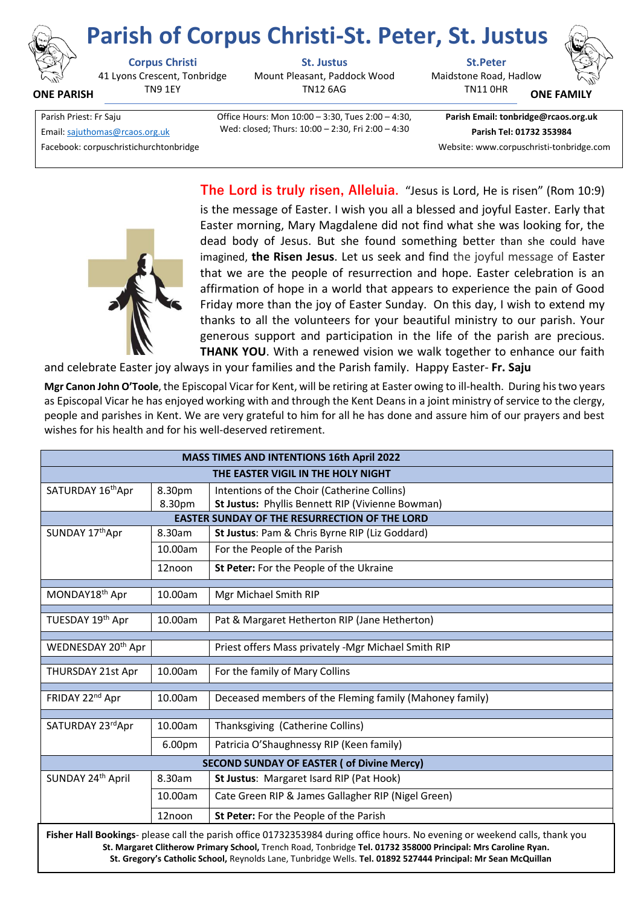

**ONE PARISH**

## **Parish of Corpus Christi-St. Peter, St. Justus**

41 Lyons Crescent, Tonbridge TN9 1EY

Mount Pleasant, Paddock Wood TN12 6AG

**Corpus Christi St. Justus St.Peter** Maidstone Road, Hadlow TN11 0HR



**ONE FAMILY**

Email[: sajuthomas@rcaos.org.uk](about:blank) **Parish Tel: 01732 353984**

Facebook: corpuschristichurchtonbridge Website: www.corpuschristi-tonbridge.com

Parish Priest: Fr Saju Office Hours: Mon 10:00 – 3:30, Tues 2:00 – 4:30, Wed: closed; Thurs: 10:00 – 2:30, Fri 2:00 – 4:30

**Parish Email: tonbridge@rcaos.org.uk**

**The Lord is truly risen, Alleluia.** "Jesus is Lord, He is risen" (Rom 10:9) is the message of Easter. I wish you all a blessed and joyful Easter. Early that Easter morning, Mary Magdalene did not find what she was looking for, the dead body of Jesus. But she found something better than she could have imagined, **the Risen Jesus**. Let us seek and find the joyful message of Easter that we are the people of resurrection and hope. Easter celebration is an affirmation of hope in a world that appears to experience the pain of Good Friday more than the joy of Easter Sunday. On this day, I wish to extend my thanks to all the volunteers for your beautiful ministry to our parish. Your generous support and participation in the life of the parish are precious. **THANK YOU**. With a renewed vision we walk together to enhance our faith

and celebrate Easter joy always in your families and the Parish family. Happy Easter- **Fr. Saju** 

**Mgr Canon John O'Toole**, the Episcopal Vicar for Kent, will be retiring at Easter owing to ill-health. During his two years as Episcopal Vicar he has enjoyed working with and through the Kent Deans in a joint ministry of service to the clergy, people and parishes in Kent. We are very grateful to him for all he has done and assure him of our prayers and best wishes for his health and for his well-deserved retirement.

| <b>MASS TIMES AND INTENTIONS 16th April 2022</b>                                                                                                                                                                                             |         |                                                         |  |
|----------------------------------------------------------------------------------------------------------------------------------------------------------------------------------------------------------------------------------------------|---------|---------------------------------------------------------|--|
| THE EASTER VIGIL IN THE HOLY NIGHT                                                                                                                                                                                                           |         |                                                         |  |
| SATURDAY 16thApr                                                                                                                                                                                                                             | 8.30pm  | Intentions of the Choir (Catherine Collins)             |  |
|                                                                                                                                                                                                                                              | 8.30pm  | St Justus: Phyllis Bennett RIP (Vivienne Bowman)        |  |
| <b>EASTER SUNDAY OF THE RESURRECTION OF THE LORD</b>                                                                                                                                                                                         |         |                                                         |  |
| SUNDAY 17th Apr                                                                                                                                                                                                                              | 8.30am  | St Justus: Pam & Chris Byrne RIP (Liz Goddard)          |  |
|                                                                                                                                                                                                                                              | 10.00am | For the People of the Parish                            |  |
|                                                                                                                                                                                                                                              | 12noon  | St Peter: For the People of the Ukraine                 |  |
| MONDAY18th Apr                                                                                                                                                                                                                               | 10.00am | Mgr Michael Smith RIP                                   |  |
| TUESDAY 19th Apr                                                                                                                                                                                                                             | 10.00am | Pat & Margaret Hetherton RIP (Jane Hetherton)           |  |
|                                                                                                                                                                                                                                              |         |                                                         |  |
| WEDNESDAY 20 <sup>th</sup> Apr                                                                                                                                                                                                               |         | Priest offers Mass privately -Mgr Michael Smith RIP     |  |
| THURSDAY 21st Apr                                                                                                                                                                                                                            | 10.00am | For the family of Mary Collins                          |  |
| FRIDAY 22 <sup>nd</sup> Apr                                                                                                                                                                                                                  | 10.00am | Deceased members of the Fleming family (Mahoney family) |  |
| SATURDAY 23rdApr                                                                                                                                                                                                                             | 10.00am | Thanksgiving (Catherine Collins)                        |  |
|                                                                                                                                                                                                                                              |         |                                                         |  |
|                                                                                                                                                                                                                                              | 6.00pm  | Patricia O'Shaughnessy RIP (Keen family)                |  |
| <b>SECOND SUNDAY OF EASTER (of Divine Mercy)</b>                                                                                                                                                                                             |         |                                                         |  |
| SUNDAY 24th April                                                                                                                                                                                                                            | 8.30am  | St Justus: Margaret Isard RIP (Pat Hook)                |  |
|                                                                                                                                                                                                                                              | 10.00am | Cate Green RIP & James Gallagher RIP (Nigel Green)      |  |
|                                                                                                                                                                                                                                              | 12noon  | St Peter: For the People of the Parish                  |  |
| Fisher Hall Bookings- please call the parish office 01732353984 during office hours. No evening or weekend calls, thank you<br>St. Margaret Clitherow Primary School, Trench Road, Tonbridge Tel. 01732 358000 Principal: Mrs Caroline Ryan. |         |                                                         |  |

**St. Gregory's Catholic School,** Reynolds Lane, Tunbridge Wells. **Tel. 01892 527444 Principal: Mr Sean McQuillan**